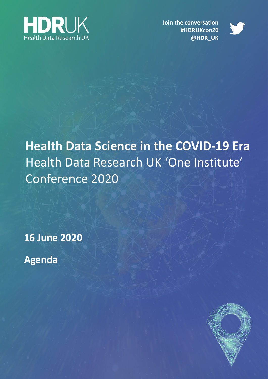

**Join the conversation #HDRUKcon20 @HDR\_UK**



**Health Data Science in the COVID-19 Era** Health Data Research UK 'One Institute' Conference 2020

**16 June 2020**

**Agenda**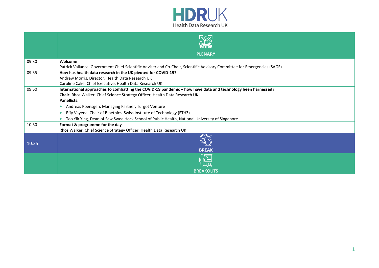

|       | <b>PLENARY</b>                                                                                                                                                                                                                                                                                                                                                                                                                                                             |  |  |
|-------|----------------------------------------------------------------------------------------------------------------------------------------------------------------------------------------------------------------------------------------------------------------------------------------------------------------------------------------------------------------------------------------------------------------------------------------------------------------------------|--|--|
| 09:30 | Welcome<br>Patrick Vallance, Government Chief Scientific Adviser and Co-Chair, Scientific Advisory Committee for Emergencies (SAGE)                                                                                                                                                                                                                                                                                                                                        |  |  |
| 09:35 | How has health data research in the UK pivoted for COVID-19?<br>Andrew Morris, Director, Health Data Research UK<br>Caroline Cake, Chief Executive, Health Data Research UK                                                                                                                                                                                                                                                                                                |  |  |
| 09:50 | International approaches to combatting the COVID-19 pandemic - how have data and technology been harnessed?<br>Chair: Rhos Walker, Chief Science Strategy Officer, Health Data Research UK<br><b>Panellists:</b><br>Andreas Poensgen, Managing Partner, Turgot Venture<br>$\bullet$<br>Effy Vayena, Chair of Bioethics, Swiss Institute of Technology (ETHZ)<br>$\bullet$<br>Teo Yik Ying, Dean of Saw Swee Hock School of Public Health, National University of Singapore |  |  |
| 10:30 | Format & programme for the day<br>Rhos Walker, Chief Science Strategy Officer, Health Data Research UK                                                                                                                                                                                                                                                                                                                                                                     |  |  |
| 10:35 | <b>BREAK</b>                                                                                                                                                                                                                                                                                                                                                                                                                                                               |  |  |
|       | <b>BREAKOUTS</b>                                                                                                                                                                                                                                                                                                                                                                                                                                                           |  |  |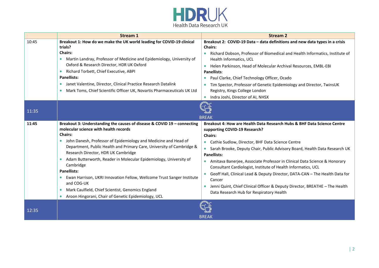

|       | <b>Stream 1</b>                                                                                                                                                                                                                                                                                                                                                                                                                                                                                                                                                                                                                                                                       | <b>Stream 2</b>                                                                                                                                                                                                                                                                                                                                                                                                                                                                                                                                                                                                                                              |
|-------|---------------------------------------------------------------------------------------------------------------------------------------------------------------------------------------------------------------------------------------------------------------------------------------------------------------------------------------------------------------------------------------------------------------------------------------------------------------------------------------------------------------------------------------------------------------------------------------------------------------------------------------------------------------------------------------|--------------------------------------------------------------------------------------------------------------------------------------------------------------------------------------------------------------------------------------------------------------------------------------------------------------------------------------------------------------------------------------------------------------------------------------------------------------------------------------------------------------------------------------------------------------------------------------------------------------------------------------------------------------|
| 10:45 | Breakout 1: How do we make the UK world leading for COVID-19 clinical<br>trials?<br><b>Chairs:</b><br>Martin Landray, Professor of Medicine and Epidemiology, University of<br>$\bullet$<br>Oxford & Research Director, HDR UK Oxford<br>Richard Torbett, Chief Executive, ABPI<br>$\bullet$<br><b>Panellists:</b><br>Janet Valentine, Director, Clinical Practice Research Datalink<br>$\bullet$<br>Mark Toms, Chief Scientific Officer UK, Novartis Pharmaceuticals UK Ltd<br>$\bullet$                                                                                                                                                                                             | Breakout 2: COVID-19 Data - data definitions and new data types in a crisis<br><b>Chairs:</b><br>Richard Dobson, Professor of Biomedical and Health Informatics, Institute of<br>Health Informatics, UCL<br>• Helen Parkinson, Head of Molecular Archival Resources, EMBL-EBI<br><b>Panellists:</b><br>• Paul Clarke, Chief Technology Officer, Ocado<br>Tim Spector, Professor of Genetic Epidemiology and Director, TwinsUK<br>Registry, Kings College London<br>Indra Joshi, Director of AI, NHSX                                                                                                                                                         |
| 11:35 | <b>BREAK</b>                                                                                                                                                                                                                                                                                                                                                                                                                                                                                                                                                                                                                                                                          |                                                                                                                                                                                                                                                                                                                                                                                                                                                                                                                                                                                                                                                              |
| 11:45 | Breakout 3: Understanding the causes of disease & COVID 19 - connecting<br>molecular science with health records<br><b>Chairs:</b><br>John Danesh, Professor of Epidemiology and Medicine and Head of<br>$\bullet$<br>Department, Public Health and Primary Care, University of Cambridge &<br>Research Director, HDR UK Cambridge<br>Adam Butterworth, Reader in Molecular Epidemiology, University of<br>$\bullet$<br>Cambridge<br><b>Panellists:</b><br>Ewan Harrison, UKRI Innovation Fellow, Wellcome Trust Sanger Institute<br>$\bullet$<br>and COG-UK<br>Mark Caulfield, Chief Scientist, Genomics England<br>$\bullet$<br>Aroon Hingorani, Chair of Genetic Epidemiology, UCL | Breakout 4: How are Health Data Research Hubs & BHF Data Science Centre<br>supporting COVID-19 Research?<br><b>Chairs:</b><br>• Cathie Sudlow, Director, BHF Data Science Centre<br>• Sarah Brooke, Deputy Chair, Public Advisory Board, Health Data Research UK<br><b>Panellists:</b><br>• Amitava Banerjee, Associate Professor in Clinical Data Science & Honorary<br>Consultant Cardiologist, Institute of Health Informatics, UCL<br>• Geoff Hall, Clinical Lead & Deputy Director, DATA-CAN - The Health Data for<br>Cancer<br>Jenni Quint, Chief Clinical Officer & Deputy Director, BREATHE - The Health<br>Data Research Hub for Respiratory Health |
| 12:35 |                                                                                                                                                                                                                                                                                                                                                                                                                                                                                                                                                                                                                                                                                       | <b>BREAK</b>                                                                                                                                                                                                                                                                                                                                                                                                                                                                                                                                                                                                                                                 |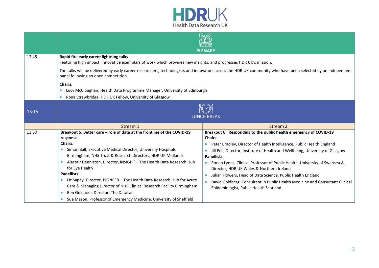

|       | त्रका<br><b>PLENARY</b>                                                                                                                                                                                                                                                                                                                                                                                                                                                                                                                                                                                              |                                                                                                                                                                                                                                                                                                                                                                                                                                                                                                                                                                                   |  |
|-------|----------------------------------------------------------------------------------------------------------------------------------------------------------------------------------------------------------------------------------------------------------------------------------------------------------------------------------------------------------------------------------------------------------------------------------------------------------------------------------------------------------------------------------------------------------------------------------------------------------------------|-----------------------------------------------------------------------------------------------------------------------------------------------------------------------------------------------------------------------------------------------------------------------------------------------------------------------------------------------------------------------------------------------------------------------------------------------------------------------------------------------------------------------------------------------------------------------------------|--|
| 12:45 | Rapid fire early career lightning talks<br>Featuring high impact, innovative exemplars of work which provides new insights, and progresses HDR UK's mission.<br>The talks will be delivered by early career researchers, technologists and innovators across the HDR UK community who have been selected by an independent<br>panel following an open competition.<br>Chairs:<br>Lucy McCloughan, Health Data Programme Manager, University of Edinburgh<br>Rona Strawbridge, HDR UK Fellow, University of Glasgow                                                                                                   |                                                                                                                                                                                                                                                                                                                                                                                                                                                                                                                                                                                   |  |
| 13:15 | <b>LUNCH BREAK</b>                                                                                                                                                                                                                                                                                                                                                                                                                                                                                                                                                                                                   |                                                                                                                                                                                                                                                                                                                                                                                                                                                                                                                                                                                   |  |
|       | Stream 1                                                                                                                                                                                                                                                                                                                                                                                                                                                                                                                                                                                                             | Stream 2                                                                                                                                                                                                                                                                                                                                                                                                                                                                                                                                                                          |  |
| 13:50 | Breakout 5: Better care - role of data at the frontline of the COVID-19<br>response<br><b>Chairs:</b><br>Simon Ball, Executive Medical Director, University Hospitals<br>Birmingham, NHS Trust & Research Directors, HDR UK Midlands<br>Alastair Denniston, Director, INSIGHT - The Health Data Research Hub<br>for Eye Health<br><b>Panellists:</b><br>Liz Sapey, Director, PIONEER - The Health Data Research Hub for Acute<br>Care & Managing Director of NHR Clinical Research Facility Birmingham<br>Ben Goldacre, Director, The DataLab<br>Sue Mason, Professor of Emergency Medicine, University of Sheffield | Breakout 6: Responding to the public health emergency of COVID-19<br>Chairs:<br>Peter Bradley, Director of Health Intelligence, Public Health England<br>Jill Pell, Director, Institute of Health and Wellbeing, University of Glasgow<br><b>Panellists:</b><br>• Ronan Lyons, Clinical Professor of Public Health, University of Swansea &<br>Director, HDR UK Wales & Northern Ireland<br>Julian Flowers, Head of Data Science, Public Health England<br>David Goldberg, Consultant in Public Health Medicine and Consultant Clinical<br>Epidemiologist, Public Health Scotland |  |